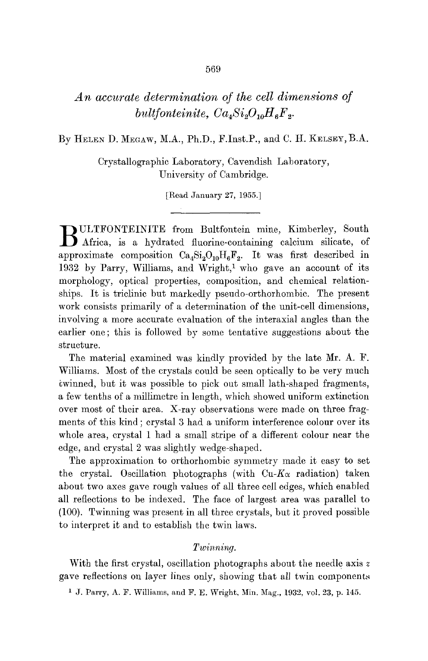# *An accurate determination of the cell dimensions of bultfonteinite,*  $Ca<sub>4</sub>Si<sub>2</sub>O<sub>10</sub>H<sub>6</sub>F<sub>2</sub>$ *.*

By HELEN D. MEGAW, M.A., Ph.D., F.Inst.P., and C. H. KELSEY, B.A.

Crystallographic Laboratory, Cavendish Laboratory, University of Cambridge.

[Read January 27, 1955.]

BULTFONTEINITE from Bultfontein mine, Kimberley, South Africa, is a hydrated fluorine-containing calcium silicate, of approximate composition  $Ca_4Si_2O_{10}H_6F_2$ . It was first described in 1932 by Parry, Williams, and Wright,<sup>1</sup> who gave an account of its morphology, optical properties, composition, and chemical relationships. It is triclinic but markedly pseudo-orthorhombic. The present work consists primarily of a determination of the unit-cell dimensions, involving a more accurate evaluation of the interaxial angles than the earlier one; this is followed by some tentative suggestions about the structure.

The material examined was kindly provided by the late Mr. A. F. Williams. Most of the crystals could be seen optically to be very much twinned, but it was possible to pick out small lath-shaped fragments, a few tenths of a millimetre in length, which showed uniform extinction over most of their area. X-ray observations were made on three fragments of this kind ; crystal 3 had a uniform interference eolour over its whole area, crystal 1 had a small stripe of a different colour near the edge, and crystal 2 was slightly wedge-shaped.

The approximation to orthorhombic symmetry made it easy to set the crystal. Oscillation photographs (with  $Cu-K\alpha$  radiation) taken about two axes gave rough values of all three cell edges, which enabled all reflections to be indexed. The face of largest area was parallel to (100). Twinning was present in all three crystals, but it proved possible to interpret it and to establish the twin laws.

## $Twinning$ .

With the first crystal, oscillation photographs about the needle axis z gave reflections on layer lines only, showing that all twin components

<sup>1</sup> J. Parry, A. F. Williams, and F. E. Wright, Min. Mag., 1932, vol. 23, p. 145.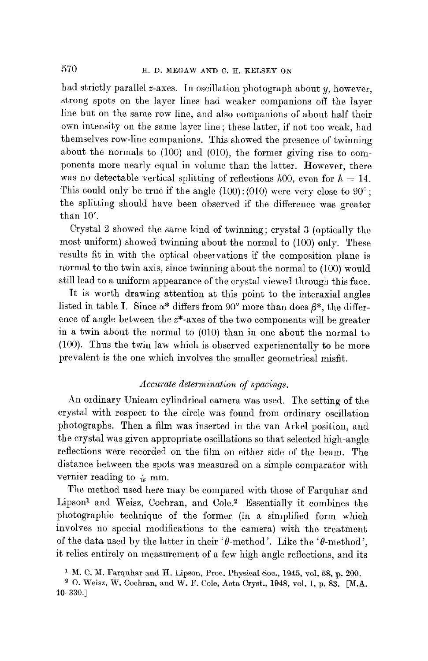had strictly parallel z-axes. In oscillation photograph about y, however, strong spots on the layer lines had weaker companions off the layer line but on the *same* row line, and also companions of about half their own intensity on the same layer line ; these latter, if not too weak, had themselves row-line companions. This showed the presence of twinning about the normals to (100) and (010), the former giving rise to components more nearly equal in volume than the latter. However, there was no detectable vertical splitting of reflections  $h^{00}$ , even for  $h = 14$ . This could only be true if the angle  $(100)$ :  $(010)$  were very close to  $90^{\circ}$ ; the splitting should have been observed if the difference was greater than  $10'$ .

Crystal 2 showed the same kind of twinning ; crystal 3 (optically the most uniform) showed twinning about the normal to (100) only. These results fit in with the optical observations if the composition plane is normal to the twin axis, since twinning about the normal to (100) would still lead to a uniform appearance of the crystal viewed through this face.

It is worth drawing attention at this point to the interaxial angles listed in table I. Since  $\alpha^*$  differs from 90° more than does  $\beta^*$ , the difference of angle between the z\*-axes of the two components will be greater in a twin about the normal to (010) than in one about the normal to (100). Thus the twin law which is observed experimentally to be more prevalent is the one which involves the smaller geometrical misfit.

### *Accurate determination of spacings.*

An ordinary Unicam cylindrical camera was used. The setting of the crystal with respect to the circle was found from ordinary oscillation photographs. Then a film was inserted in the van Arkel position, and the crystal was given appropriate oscillations so that selected high-angle reflections were recorded on the film on either side of the beam. The distance between the spots was measured on a simple comparator with vernier reading to  $\frac{1}{6}$  mm.

The method used here may be compared with those of Farquhar and Lipson<sup>1</sup> and Weisz, Cochran, and Cole.<sup>2</sup> Essentially it combines the photographic technique of the former (in a simplified form which involves no special modifications to the camera) with the treatment of the data used by the latter in their ' $\theta$ -method'. Like the ' $\theta$ -method', it relies entirely on measurement of a few high-angle reflections, and its

 $1$  M. C. M. Farquhar and H. Lipson, Proc. Physical Soc., 1945, vol. 58, p. 200.

<sup>&</sup>lt;sup>2</sup> O. Weisz, W. Cochran, and W. F. Cole, Acta Cryst., 1948, vol. 1, p. 83. [M.A. 10-330.]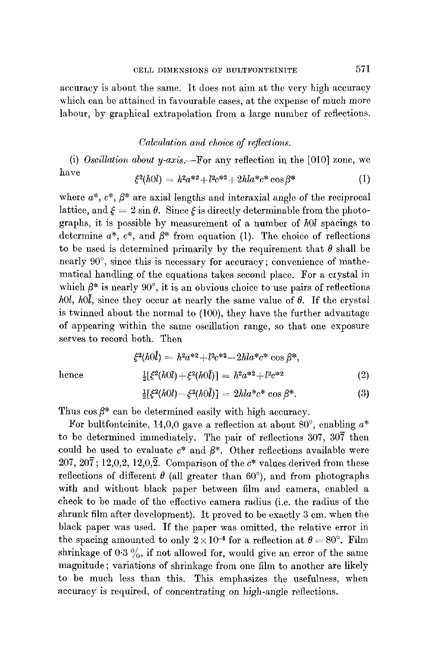accuracy is about the same. It does not aim at the very high accuracy which can be attained in favourable cases, at the expense of much more labour, by graphical extrapolation from a large number of reflections.

# *Calculation and choice of reflections.*

(i) *Oscillation about y-axis.--For* any reflection in the [010] zone, we have  $\dot{\xi}^2(h0l) = h^2a^{*2} + l^2c^{*2} + 2hla^*c^* \cos \beta^*$  (1)

where  $a^*$ ,  $c^*$ ,  $\beta^*$  are axial lengths and interaxial angle of the reciprocal lattice, and  $\xi = 2 \sin \theta$ . Since  $\xi$  is directly determinable from the photographs, it is possible by measurement of a number of *hOl* spacings to determine  $a^*$ ,  $c^*$ , and  $\beta^*$  from equation (1). The choice of reflections to be used is determined primarily by the requirement that  $\theta$  shall be nearly  $90^{\circ}$ , since this is necessary for accuracy; convenience of mathematical handling of the equations takes second place. For a cIystal in which  $\beta^*$  is nearly 90°, it is an obvious choice to use pairs of reflections *hOl, hOl,* since they occur at nearly the same value of  $\theta$ . If the crystal is twinned about the normal to (100), they have the further advantage of appearing within the same oscillation range, so that one exposure serves to record both. Then

$$
\xi^{2}(h0\bar{l}) = h^{2}a^{*2} + l^{2}c^{*2} - 2hla^{*}c^{*} \cos \beta^{*},
$$
  
hence 
$$
\frac{1}{2}[\xi^{2}(h0l) + \xi^{2}(h0\bar{l})] = h^{2}a^{*2} + l^{2}c^{*2}
$$
 (2)

$$
\frac{1}{2}[\xi^2(h0l) - \xi^2(h0\bar{l})] = 2hla^*c^* \cos \beta^*.
$$
 (3)

Thus  $\cos \beta^*$  can be determined easily with high accuracy.

For bultfonteinite, 14,0,0 gave a reflection at about 80 $^{\circ}$ , enabling  $a^*$ to be determined immediately. The pair of reflections 307, 307 then could be used to evaluate  $c^*$  and  $\beta^*$ . Other reflections available were 207, 207; 12,0,2, 12,0,2. Comparison of the  $c^*$  values derived from these reflections of different  $\theta$  (all greater than 60°), and from photographs with and without black paper between film and camera, enabled a check to be made of the effective camera radius (i.e. the radius of the shrunk film after development). It proved to be exactly 3 cm. when the black paper was used. If the paper was omitted, the relative error in the spacing amounted to only  $2 \times 10^{-4}$  for a reflection at  $\theta = 80^{\circ}$ . Film shrinkage of  $0.3\%$ , if not allowed for, would give an error of the same magnitude; variations of shrinkage from one film to another are likely to be much less than this. This emphasizes the usefulness, when accuracy is required, of concentrating on high-angle reflections.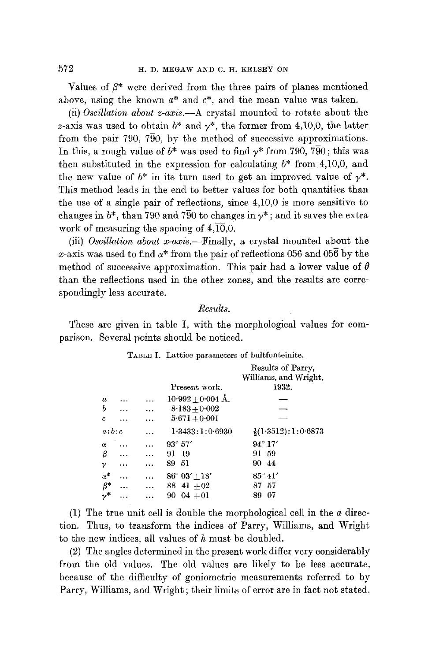Values of  $\beta^*$  were derived from the three pairs of planes mentioned above, using the known  $a^*$  and  $c^*$ , and the mean value was taken.

(ii) *Oscillation about z-axis.--A* crystal mounted to rotate about the z-axis was used to obtain  $b^*$  and  $v^*$ , the former from 4.10,0, the latter from the pair 790, 7 $\overline{90}$ , by the method of successive approximations. In this, a rough value of  $b^*$  was used to find  $\gamma^*$  from 790, 790; this was then substituted in the expression for calculating  $b^*$  from 4,10,0, and the new value of  $b^*$  in its turn used to get an improved value of  $\gamma^*$ . This method leads in the end to better values for both quantities than the use of a single pair of reflections, since 4,10,0 is more sensitive to changes in  $b^*$ , than 790 and 790 to changes in  $\gamma^*$ ; and it saves the extra work of measuring the spacing of  $4,\overline{10},0.$ 

(iii) *Oscillation about x-axis.--Finally,* a crystal mounted about the x-axis was used to find  $\alpha^*$  from the pair of reflections 056 and 056 by the method of successive approximation. This pair had a lower value of  $\theta$ than the reflections used in the other zones, and the resnlts are correspondingly less accurate.

#### *Results.*

These are given in table I, with the morphological values for comparison. Several points should be noticed.

|                  |               |                        | Results of Parry,              |
|------------------|---------------|------------------------|--------------------------------|
|                  |               |                        | Williams, and Wright,          |
|                  |               | Present work.          | 1932.                          |
| $\boldsymbol{a}$ |               | $10.992 + 0.004$ Å.    |                                |
| ь                | <br>$\ddotsc$ | $8.183 + 0.002$        |                                |
| c                |               | $5.671 + 0.001$        |                                |
| a:b:c            | .             | 1.3433:1:0.6930        | $\frac{1}{2}(1.3512):1:0.6873$ |
| $\alpha$         |               | $93^{\circ} 57'$       | $94^{\circ} 17'$               |
| β                | <br>$\ddotsc$ | 91 19                  | 91.<br>-59                     |
| γ                | <br>.         | 89 51                  | 9044                           |
| $\alpha^*$       |               | $86^{\circ} 03' + 18'$ | $85^{\circ}$ 41'               |
| $\beta^*$        | <br>$\ddotsc$ | 88 41 $\pm$ 02         | -57<br>87                      |
| .<br>م•          |               | $90 \t04 + 01$         | 07<br>89                       |

TABLE I. Lattice parameters of bultfonteinite.

(1) The true unit cell is double the morphological cell in the a direction. Thus, to transform the indices of Parry, Williams, and Wright to the new indices, all values of  $h$  must be doubled.

(2) *The* angles determined in the present work differ very considerably from the old values. The old values are likely to be less accurate, because of the difficulty of goniometric measurements referred to by Parry, Williams, and Wright ; their limits of error are in fact not stated.